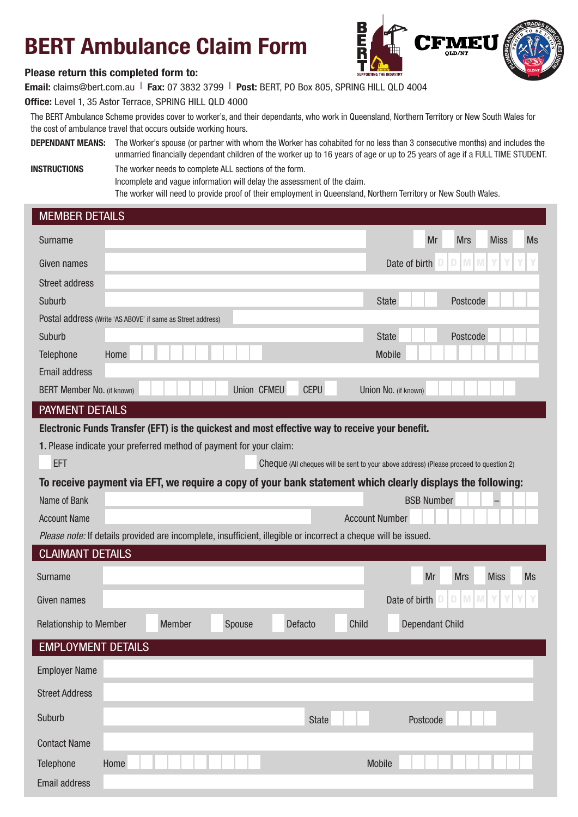## BERT Ambulance Claim Form



## Please return this completed form to:

Email: claims@bert.com.au | Fax: 07 3832 3799 | Post: BERT, PO Box 805, SPRING HILL QLD 4004 Office: Level 1, 35 Astor Terrace, SPRING HILL QLD 4000

The BERT Ambulance Scheme provides cover to worker's, and their dependants, who work in Queensland, Northern Territory or New South Wales for the cost of ambulance travel that occurs outside working hours.

DEPENDANT MEANS: The Worker's spouse (or partner with whom the Worker has cohabited for no less than 3 consecutive months) and includes the unmarried financially dependant children of the worker up to 16 years of age or up to 25 years of age if a FULL TIME STUDENT.

**INSTRUCTIONS** The worker needs to complete ALL sections of the form. Incomplete and vague information will delay the assessment of the claim. The worker will need to provide proof of their employment in Queensland, Northern Territory or New South Wales.

| <b>MEMBER DETAILS</b>                                                                                          |                                                                                        |  |
|----------------------------------------------------------------------------------------------------------------|----------------------------------------------------------------------------------------|--|
| Surname                                                                                                        | <b>Miss</b><br>Mr<br><b>Mrs</b><br><b>Ms</b>                                           |  |
| Given names                                                                                                    | M<br>M<br>Date of birth<br>D                                                           |  |
| <b>Street address</b>                                                                                          |                                                                                        |  |
| Suburb                                                                                                         | Postcode<br><b>State</b>                                                               |  |
| Postal address (Write 'AS ABOVE' if same as Street address)                                                    |                                                                                        |  |
| Suburb                                                                                                         | <b>State</b><br>Postcode                                                               |  |
| Telephone<br>Home                                                                                              | <b>Mobile</b>                                                                          |  |
| <b>Email address</b>                                                                                           |                                                                                        |  |
| Union CFMEU<br><b>CEPU</b><br>BERT Member No. (if known)                                                       | Union No. (if known)                                                                   |  |
| <b>PAYMENT DETAILS</b>                                                                                         |                                                                                        |  |
| Electronic Funds Transfer (EFT) is the quickest and most effective way to receive your benefit.                |                                                                                        |  |
| 1. Please indicate your preferred method of payment for your claim:                                            |                                                                                        |  |
| <b>EFT</b>                                                                                                     | Cheque (All cheques will be sent to your above address) (Please proceed to question 2) |  |
| To receive payment via EFT, we require a copy of your bank statement which clearly displays the following:     |                                                                                        |  |
| Name of Bank                                                                                                   | <b>BSB Number</b>                                                                      |  |
| <b>Account Name</b>                                                                                            | <b>Account Number</b>                                                                  |  |
| Please note: If details provided are incomplete, insufficient, illegible or incorrect a cheque will be issued. |                                                                                        |  |
| <b>CLAIMANT DETAILS</b>                                                                                        |                                                                                        |  |
| Surname                                                                                                        | Mr<br><b>Mrs</b><br><b>Miss</b><br><b>Ms</b>                                           |  |
| Given names                                                                                                    | D<br>$\mathbb N$<br>M<br>Date of birth                                                 |  |
| Member<br>Defacto<br>Child<br><b>Relationship to Member</b><br>Spouse                                          | <b>Dependant Child</b>                                                                 |  |
| <b>EMPLOYMENT DETAILS</b>                                                                                      |                                                                                        |  |
| <b>Employer Name</b>                                                                                           |                                                                                        |  |
| <b>Street Address</b>                                                                                          |                                                                                        |  |
| Suburb<br><b>State</b>                                                                                         |                                                                                        |  |
|                                                                                                                | Postcode                                                                               |  |
| <b>Contact Name</b>                                                                                            |                                                                                        |  |
| Telephone<br>Home                                                                                              | Mobile                                                                                 |  |